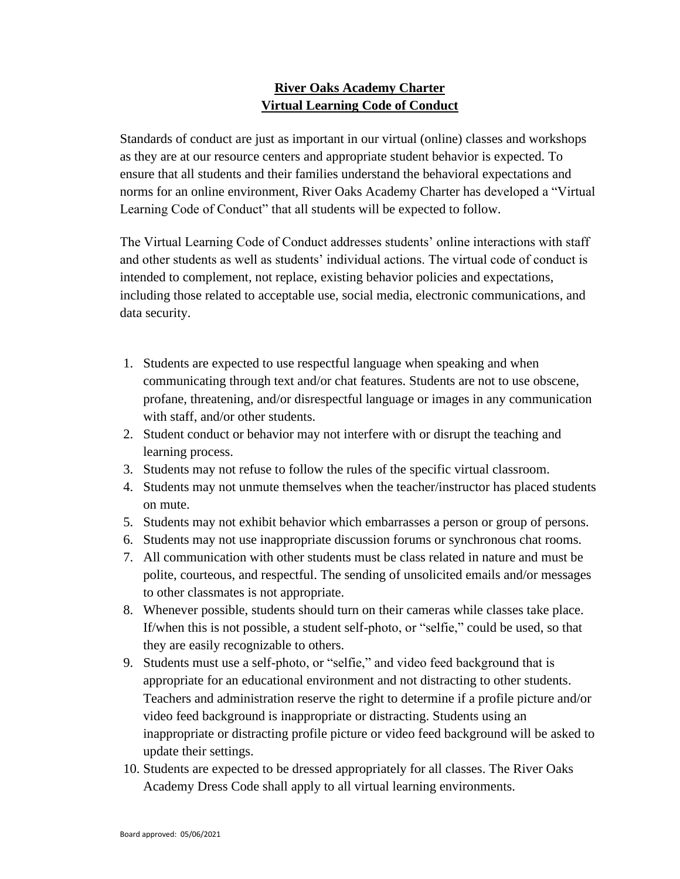## **River Oaks Academy Charter Virtual Learning Code of Conduct**

Standards of conduct are just as important in our virtual (online) classes and workshops as they are at our resource centers and appropriate student behavior is expected. To ensure that all students and their families understand the behavioral expectations and norms for an online environment, River Oaks Academy Charter has developed a "Virtual Learning Code of Conduct" that all students will be expected to follow.

The Virtual Learning Code of Conduct addresses students' online interactions with staff and other students as well as students' individual actions. The virtual code of conduct is intended to complement, not replace, existing behavior policies and expectations, including those related to acceptable use, social media, electronic communications, and data security.

- 1. Students are expected to use respectful language when speaking and when communicating through text and/or chat features. Students are not to use obscene, profane, threatening, and/or disrespectful language or images in any communication with staff, and/or other students.
- 2. Student conduct or behavior may not interfere with or disrupt the teaching and learning process.
- 3. Students may not refuse to follow the rules of the specific virtual classroom.
- 4. Students may not unmute themselves when the teacher/instructor has placed students on mute.
- 5. Students may not exhibit behavior which embarrasses a person or group of persons.
- 6. Students may not use inappropriate discussion forums or synchronous chat rooms.
- 7. All communication with other students must be class related in nature and must be polite, courteous, and respectful. The sending of unsolicited emails and/or messages to other classmates is not appropriate.
- 8. Whenever possible, students should turn on their cameras while classes take place. If/when this is not possible, a student self-photo, or "selfie," could be used, so that they are easily recognizable to others.
- 9. Students must use a self-photo, or "selfie," and video feed background that is appropriate for an educational environment and not distracting to other students. Teachers and administration reserve the right to determine if a profile picture and/or video feed background is inappropriate or distracting. Students using an inappropriate or distracting profile picture or video feed background will be asked to update their settings.
- 10. Students are expected to be dressed appropriately for all classes. The River Oaks Academy Dress Code shall apply to all virtual learning environments.